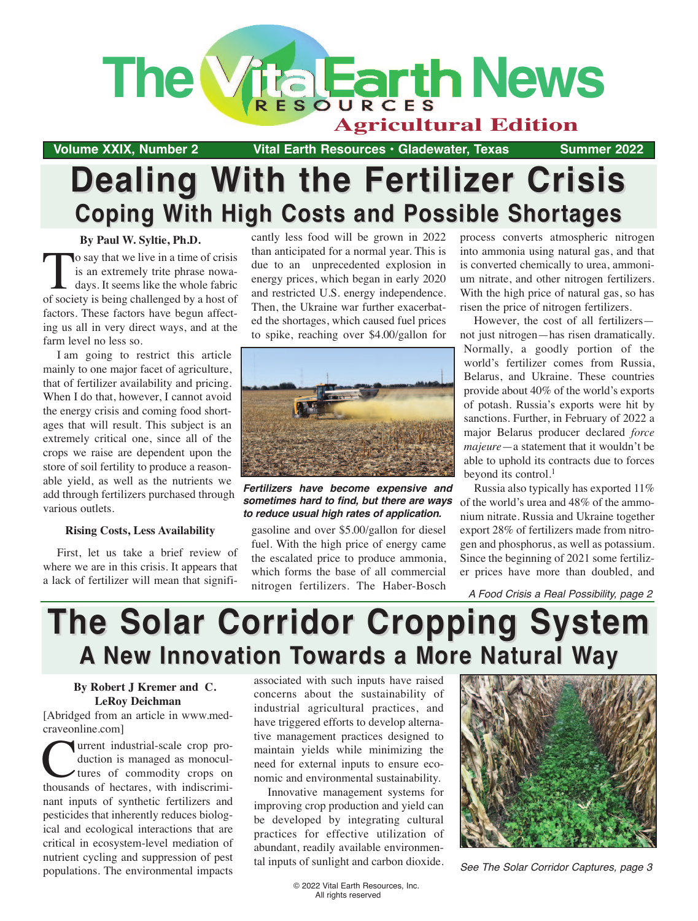

**Volume XXIX, Number 2 19 Vital Earth Resources · Gladewater, Texas 5ummer 2022** 

## **Dealing With the Fertilizer Crisis Dealing With the Fertilizer Crisis Coping With High Costs and Possible Shortages Coping With High Costs and Possible Shortages**

**By Paul W. Syltie, Ph.D.**

To say that we live in a time of crisis<br>is an extremely trite phrase nowa-<br>days. It seems like the whole fabric<br>of society is being challenged by a host of is an extremely trite phrase nowadays. It seems like the whole fabric of society is being challenged by a host of factors. These factors have begun affecting us all in very direct ways, and at the farm level no less so.

I am going to restrict this article mainly to one major facet of agriculture, that of fertilizer availability and pricing. When I do that, however, I cannot avoid the energy crisis and coming food shortages that will result. This subject is an extremely critical one, since all of the crops we raise are dependent upon the store of soil fertility to produce a reasonable yield, as well as the nutrients we add through fertilizers purchased through various outlets.

#### **Rising Costs, Less Availability**

First, let us take a brief review of where we are in this crisis. It appears that a lack of fertilizer will mean that significantly less food will be grown in 2022 than anticipated for a normal year. This is due to an unprecedented explosion in energy prices, which began in early 2020 and restricted U.S. energy independence. Then, the Ukraine war further exacerbated the shortages, which caused fuel prices to spike, reaching over \$4.00/gallon for



*Fertilizers have become expensive and sometimes hard to find, but there are ways to reduce usual high rates of application.*

gasoline and over \$5.00/gallon for diesel fuel. With the high price of energy came the escalated price to produce ammonia, which forms the base of all commercial nitrogen fertilizers. The Haber-Bosch process converts atmospheric nitrogen into ammonia using natural gas, and that is converted chemically to urea, ammonium nitrate, and other nitrogen fertilizers. With the high price of natural gas, so has risen the price of nitrogen fertilizers.

However, the cost of all fertilizers not just nitrogen—has risen dramatically. Normally, a goodly portion of the world's fertilizer comes from Russia, Belarus, and Ukraine. These countries provide about 40% of the world's exports of potash. Russia's exports were hit by sanctions. Further, in February of 2022 a major Belarus producer declared *force majeure*—a statement that it wouldn't be able to uphold its contracts due to forces beyond its control.<sup>1</sup>

Russia also typically has exported 11% of the world's urea and 48% of the ammonium nitrate. Russia and Ukraine together export 28% of fertilizers made from nitrogen and phosphorus, as well as potassium. Since the beginning of 2021 some fertilizer prices have more than doubled, and

A Food Crisis a Real Possibility, page 2

## **The Solar Corridor Cropping System The Solar Corridor Cropping System A New Innovation Towards a More Natural Way A New Innovation Towards a More Natural Way**

#### **By Robert J Kremer and C. LeRoy Deichman**

[Abridged from an article in www.medcraveonline.com]

Turrent industrial-scale crop pro-<br>duction is managed as monocul-<br>tures of commodity crops on<br>thousands of hectares with indiscrimiduction is managed as monocultures of commodity crops on thousands of hectares, with indiscriminant inputs of synthetic fertilizers and pesticides that inherently reduces biological and ecological interactions that are critical in ecosystem-level mediation of nutrient cycling and suppression of pest populations. The environmental impacts associated with such inputs have raised concerns about the sustainability of industrial agricultural practices, and have triggered efforts to develop alternative management practices designed to maintain yields while minimizing the need for external inputs to ensure economic and environmental sustainability.

Innovative management systems for improving crop production and yield can be developed by integrating cultural practices for effective utilization of abundant, readily available environmental inputs of sunlight and carbon dioxide.



See The Solar Corridor Captures, page 3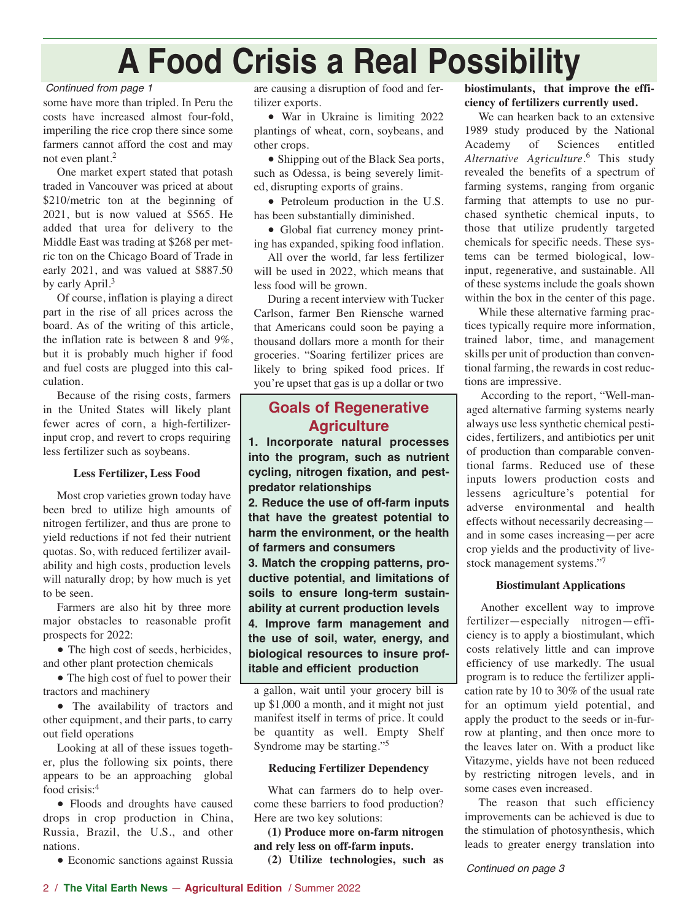# **A Food Crisis a Real Possibility**

#### Continued from page 1

some have more than tripled. In Peru the costs have increased almost four-fold, imperiling the rice crop there since some farmers cannot afford the cost and may not even plant.2

One market expert stated that potash traded in Vancouver was priced at about \$210/metric ton at the beginning of 2021, but is now valued at \$565. He added that urea for delivery to the Middle East was trading at \$268 per metric ton on the Chicago Board of Trade in early 2021, and was valued at \$887.50 by early April.<sup>3</sup>

Of course, inflation is playing a direct part in the rise of all prices across the board. As of the writing of this article, the inflation rate is between 8 and 9%, but it is probably much higher if food and fuel costs are plugged into this calculation.

Because of the rising costs, farmers in the United States will likely plant fewer acres of corn, a high-fertilizerinput crop, and revert to crops requiring less fertilizer such as soybeans.

#### **Less Fertilizer, Less Food**

Most crop varieties grown today have been bred to utilize high amounts of nitrogen fertilizer, and thus are prone to yield reductions if not fed their nutrient quotas. So, with reduced fertilizer availability and high costs, production levels will naturally drop; by how much is yet to be seen.

Farmers are also hit by three more major obstacles to reasonable profit prospects for 2022:

• The high cost of seeds, herbicides, and other plant protection chemicals

• The high cost of fuel to power their tractors and machinery

● The availability of tractors and other equipment, and their parts, to carry out field operations

Looking at all of these issues together, plus the following six points, there appears to be an approaching global food crisis:4

● Floods and droughts have caused drops in crop production in China, Russia, Brazil, the U.S., and other nations.

• Economic sanctions against Russia

are causing a disruption of food and fertilizer exports.

● War in Ukraine is limiting 2022 plantings of wheat, corn, soybeans, and other crops.

• Shipping out of the Black Sea ports, such as Odessa, is being severely limited, disrupting exports of grains.

• Petroleum production in the U.S. has been substantially diminished.

• Global fiat currency money printing has expanded, spiking food inflation.

All over the world, far less fertilizer will be used in 2022, which means that less food will be grown.

During a recent interview with Tucker Carlson, farmer Ben Riensche warned that Americans could soon be paying a thousand dollars more a month for their groceries. "Soaring fertilizer prices are likely to bring spiked food prices. If you're upset that gas is up a dollar or two

## **Goals of Regenerative Agriculture**

**1. Incorporate natural processes into the program, such as nutrient cycling, nitrogen fixation, and pestpredator relationships**

**2. Reduce the use of off-farm inputs that have the greatest potential to harm the environment, or the health of farmers and consumers**

**3. Match the cropping patterns, productive potential, and limitations of soils to ensure long-term sustainability at current production levels**

**4. Improve farm management and the use of soil, water, energy, and biological resources to insure profitable and efficient production**

a gallon, wait until your grocery bill is up \$1,000 a month, and it might not just manifest itself in terms of price. It could be quantity as well. Empty Shelf Syndrome may be starting."5

#### **Reducing Fertilizer Dependency**

What can farmers do to help overcome these barriers to food production? Here are two key solutions:

**(1) Produce more on-farm nitrogen and rely less on off-farm inputs.**

**(2) Utilize technologies, such as**

#### **biostimulants, that improve the efficiency of fertilizers currently used.**

We can hearken back to an extensive 1989 study produced by the National Academy of Sciences entitled *Alternative Agriculture*. <sup>6</sup> This study revealed the benefits of a spectrum of farming systems, ranging from organic farming that attempts to use no purchased synthetic chemical inputs, to those that utilize prudently targeted chemicals for specific needs. These systems can be termed biological, lowinput, regenerative, and sustainable. All of these systems include the goals shown within the box in the center of this page.

While these alternative farming practices typically require more information, trained labor, time, and management skills per unit of production than conventional farming, the rewards in cost reductions are impressive.

According to the report, "Well-managed alternative farming systems nearly always use less synthetic chemical pesticides, fertilizers, and antibiotics per unit of production than comparable conventional farms. Reduced use of these inputs lowers production costs and lessens agriculture's potential for adverse environmental and health effects without necessarily decreasing and in some cases increasing—per acre crop yields and the productivity of livestock management systems."7

#### **Biostimulant Applications**

Another excellent way to improve fertilizer—especially nitrogen—efficiency is to apply a biostimulant, which costs relatively little and can improve efficiency of use markedly. The usual program is to reduce the fertilizer application rate by 10 to 30% of the usual rate for an optimum yield potential, and apply the product to the seeds or in-furrow at planting, and then once more to the leaves later on. With a product like Vitazyme, yields have not been reduced by restricting nitrogen levels, and in some cases even increased.

The reason that such efficiency improvements can be achieved is due to the stimulation of photosynthesis, which leads to greater energy translation into

Continued on page 3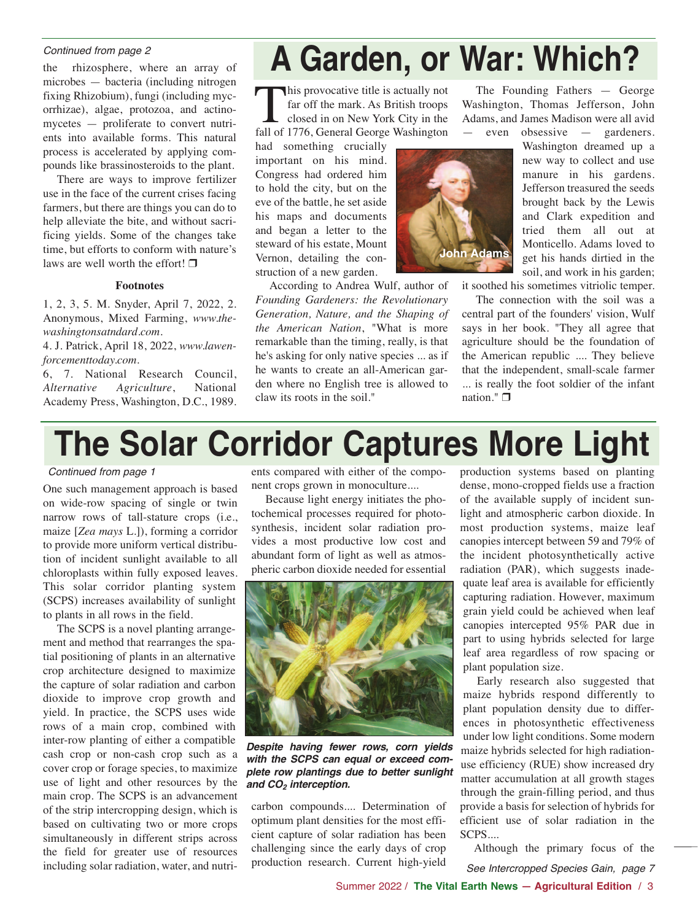#### Continued from page 2

the rhizosphere, where an array of microbes — bacteria (including nitrogen fixing Rhizobium), fungi (including mycorrhizae), algae, protozoa, and actinomycetes — proliferate to convert nutrients into available forms. This natural process is accelerated by applying compounds like brassinosteroids to the plant.

There are ways to improve fertilizer use in the face of the current crises facing farmers, but there are things you can do to help alleviate the bite, and without sacrificing yields. Some of the changes take time, but efforts to conform with nature's laws are well worth the effort!  $\Box$ 

#### **Footnotes**

1, 2, 3, 5. M. Snyder, April 7, 2022, 2. Anonymous, Mixed Farming, *www.thewashingtonsatndard.com.*

4. J. Patrick, April 18, 2022, *www.lawenforcementtoday.com.*

6, 7. National Research Council, *Alternative Agriculture*, National Academy Press, Washington, D.C., 1989.

# **A Garden, or War: Which?**

This provocative title is actually not far off the mark. As British troops closed in on New York City in the fall of 1776, General George Washington

had something crucially important on his mind. Congress had ordered him to hold the city, but on the eve of the battle, he set aside his maps and documents and began a letter to the steward of his estate, Mount Vernon, detailing the construction of a new garden.

According to Andrea Wulf, author of *Founding Gardeners: the Revolutionary Generation, Nature, and the Shaping of the American Nation*, "What is more remarkable than the timing, really, is that he's asking for only native species ... as if he wants to create an all-American garden where no English tree is allowed to claw its roots in the soil."

The Founding Fathers — George Washington, Thomas Jefferson, John Adams, and James Madison were all avid — even obsessive — gardeners.

**John Adams**

new way to collect and use manure in his gardens. Jefferson treasured the seeds brought back by the Lewis and Clark expedition and tried them all out at Monticello. Adams loved to get his hands dirtied in the soil, and work in his garden;

Washington dreamed up a

it soothed his sometimes vitriolic temper.

The connection with the soil was a central part of the founders' vision, Wulf says in her book. "They all agree that agriculture should be the foundation of the American republic .... They believe that the independent, small-scale farmer ... is really the foot soldier of the infant nation." $\Box$ 

# **The Solar Corridor Captures More Light**

#### Continued from page 1

One such management approach is based on wide-row spacing of single or twin narrow rows of tall-stature crops (i.e., maize [*Zea mays* L.]), forming a corridor to provide more uniform vertical distribution of incident sunlight available to all chloroplasts within fully exposed leaves. This solar corridor planting system (SCPS) increases availability of sunlight to plants in all rows in the field.

The SCPS is a novel planting arrangement and method that rearranges the spatial positioning of plants in an alternative crop architecture designed to maximize the capture of solar radiation and carbon dioxide to improve crop growth and yield. In practice, the SCPS uses wide rows of a main crop, combined with inter-row planting of either a compatible cash crop or non-cash crop such as a cover crop or forage species, to maximize use of light and other resources by the main crop. The SCPS is an advancement of the strip intercropping design, which is based on cultivating two or more crops simultaneously in different strips across the field for greater use of resources including solar radiation, water, and nutrients compared with either of the component crops grown in monoculture....

Because light energy initiates the photochemical processes required for photosynthesis, incident solar radiation provides a most productive low cost and abundant form of light as well as atmospheric carbon dioxide needed for essential



*Despite having fewer rows, corn yields with the SCPS can equal or exceed complete row plantings due to better sunlight and CO2 interception.*

carbon compounds.... Determination of optimum plant densities for the most efficient capture of solar radiation has been challenging since the early days of crop production research. Current high-yield production systems based on planting dense, mono-cropped fields use a fraction of the available supply of incident sunlight and atmospheric carbon dioxide. In most production systems, maize leaf canopies intercept between 59 and 79% of the incident photosynthetically active radiation (PAR), which suggests inadequate leaf area is available for efficiently capturing radiation. However, maximum grain yield could be achieved when leaf canopies intercepted 95% PAR due in part to using hybrids selected for large leaf area regardless of row spacing or plant population size.

Early research also suggested that maize hybrids respond differently to plant population density due to differences in photosynthetic effectiveness under low light conditions. Some modern maize hybrids selected for high radiationuse efficiency (RUE) show increased dry matter accumulation at all growth stages through the grain-filling period, and thus provide a basis for selection of hybrids for efficient use of solar radiation in the SCPS....

Although the primary focus of the See Intercropped Species Gain, page 7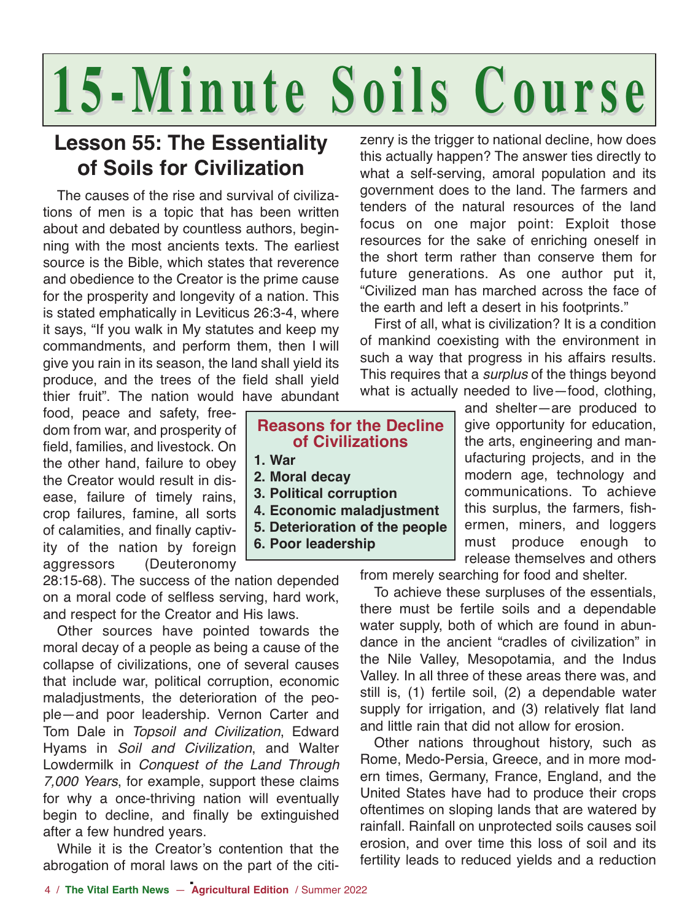# **15-Minute Soils Course 15-Minute Soils Course**

## **Lesson 55: The Essentiality of Soils for Civilization**

The causes of the rise and survival of civilizations of men is a topic that has been written about and debated by countless authors, beginning with the most ancients texts. The earliest source is the Bible, which states that reverence and obedience to the Creator is the prime cause for the prosperity and longevity of a nation. This is stated emphatically in Leviticus 26:3-4, where it says, "If you walk in My statutes and keep my commandments, and perform them, then I will give you rain in its season, the land shall yield its produce, and the trees of the field shall yield thier fruit". The nation would have abundant

food, peace and safety, freedom from war, and prosperity of field, families, and livestock. On the other hand, failure to obey the Creator would result in disease, failure of timely rains, crop failures, famine, all sorts of calamities, and finally captivity of the nation by foreign aggressors (Deuteronomy

28:15-68). The success of the nation depended on a moral code of selfless serving, hard work, and respect for the Creator and His laws.

Other sources have pointed towards the moral decay of a people as being a cause of the collapse of civilizations, one of several causes that include war, political corruption, economic maladjustments, the deterioration of the people—and poor leadership. Vernon Carter and Tom Dale in Topsoil and Civilization, Edward Hyams in Soil and Civilization, and Walter Lowdermilk in Conquest of the Land Through 7,000 Years, for example, support these claims for why a once-thriving nation will eventually begin to decline, and finally be extinguished after a few hundred years.

While it is the Creator's contention that the abrogation of moral laws on the part of the citizenry is the trigger to national decline, how does this actually happen? The answer ties directly to what a self-serving, amoral population and its government does to the land. The farmers and tenders of the natural resources of the land focus on one major point: Exploit those resources for the sake of enriching oneself in the short term rather than conserve them for future generations. As one author put it, "Civilized man has marched across the face of the earth and left a desert in his footprints."

First of all, what is civilization? It is a condition of mankind coexisting with the environment in such a way that progress in his affairs results. This requires that a *surplus* of the things beyond what is actually needed to live—food, clothing,

> and shelter—are produced to give opportunity for education, the arts, engineering and manufacturing projects, and in the modern age, technology and communications. To achieve this surplus, the farmers, fishermen, miners, and loggers must produce enough to release themselves and others

from merely searching for food and shelter.

To achieve these surpluses of the essentials, there must be fertile soils and a dependable water supply, both of which are found in abundance in the ancient "cradles of civilization" in the Nile Valley, Mesopotamia, and the Indus Valley. In all three of these areas there was, and still is, (1) fertile soil, (2) a dependable water supply for irrigation, and (3) relatively flat land and little rain that did not allow for erosion.

Other nations throughout history, such as Rome, Medo-Persia, Greece, and in more modern times, Germany, France, England, and the United States have had to produce their crops oftentimes on sloping lands that are watered by rainfall. Rainfall on unprotected soils causes soil erosion, and over time this loss of soil and its fertility leads to reduced yields and a reduction

## **1. War 2. Moral decay 3. Political corruption 4. Economic maladjustment 5. Deterioration of the people**

**6. Poor leadership**

**Reasons for the Decline of Civilizations**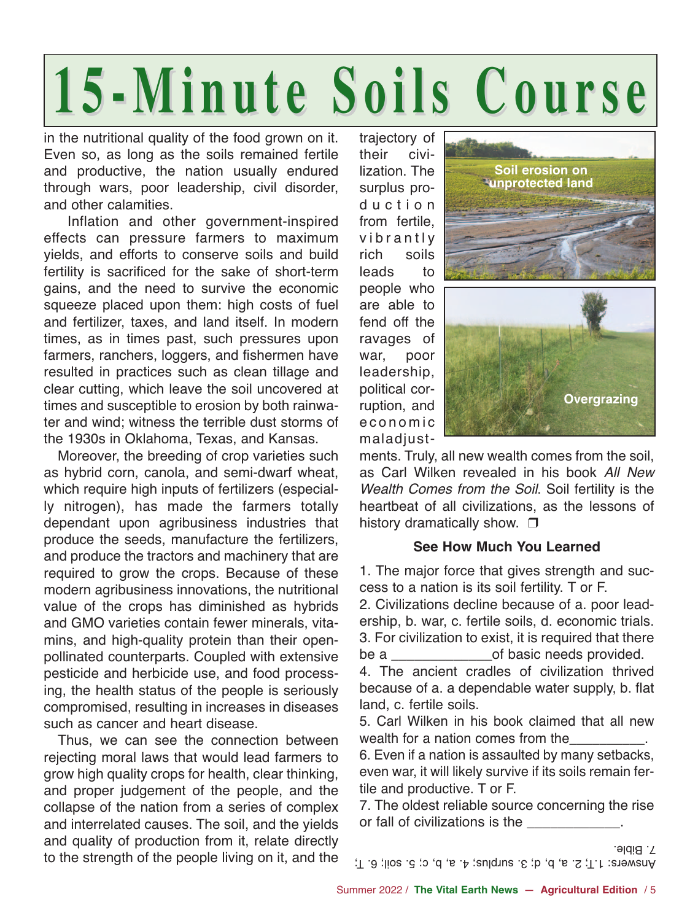# **15-Minute Soils Course 15-Minute Soils Course**

in the nutritional quality of the food grown on it. Even so, as long as the soils remained fertile and productive, the nation usually endured through wars, poor leadership, civil disorder, and other calamities.

Inflation and other government-inspired effects can pressure farmers to maximum yields, and efforts to conserve soils and build fertility is sacrificed for the sake of short-term gains, and the need to survive the economic squeeze placed upon them: high costs of fuel and fertilizer, taxes, and land itself. In modern times, as in times past, such pressures upon farmers, ranchers, loggers, and fishermen have resulted in practices such as clean tillage and clear cutting, which leave the soil uncovered at times and susceptible to erosion by both rainwater and wind; witness the terrible dust storms of the 1930s in Oklahoma, Texas, and Kansas.

Moreover, the breeding of crop varieties such as hybrid corn, canola, and semi-dwarf wheat, which require high inputs of fertilizers (especially nitrogen), has made the farmers totally dependant upon agribusiness industries that produce the seeds, manufacture the fertilizers, and produce the tractors and machinery that are required to grow the crops. Because of these modern agribusiness innovations, the nutritional value of the crops has diminished as hybrids and GMO varieties contain fewer minerals, vitamins, and high-quality protein than their openpollinated counterparts. Coupled with extensive pesticide and herbicide use, and food processing, the health status of the people is seriously compromised, resulting in increases in diseases such as cancer and heart disease.

Thus, we can see the connection between rejecting moral laws that would lead farmers to grow high quality crops for health, clear thinking, and proper judgement of the people, and the collapse of the nation from a series of complex and interrelated causes. The soil, and the yields and quality of production from it, relate directly to the strength of the people living on it, and the trajectory of their civilization. The surplus production from fertile, vibrantly rich soils leads to people who are able to fend off the ravages of war, poor leadership, political corruption, and economic maladjust-



ments. Truly, all new wealth comes from the soil, as Carl Wilken revealed in his book All New Wealth Comes from the Soil. Soil fertility is the heartbeat of all civilizations, as the lessons of history dramatically show.  $\Box$ 

### **See How Much You Learned**

1. The major force that gives strength and success to a nation is its soil fertility. T or F.

2. Civilizations decline because of a. poor leadership, b. war, c. fertile soils, d. economic trials. 3. For civilization to exist, it is required that there be a contracted basic needs provided.

4. The ancient cradles of civilization thrived because of a. a dependable water supply, b. flat land, c. fertile soils.

5. Carl Wilken in his book claimed that all new wealth for a nation comes from the

6. Even if a nation is assaulted by many setbacks, even war, it will likely survive if its soils remain fertile and productive. T or F.

7. The oldest reliable source concerning the rise or fall of civilizations is the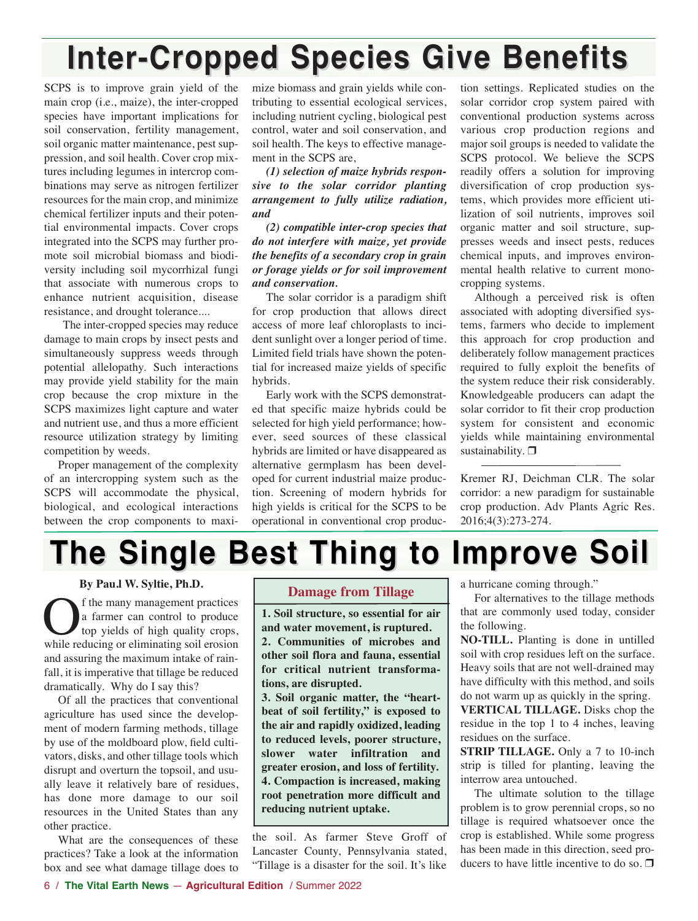# **Inter-Cropped Species Give Benefits Inter-Cropped Species Give Benefits**

SCPS is to improve grain yield of the main crop (i.e., maize), the inter-cropped species have important implications for soil conservation, fertility management, soil organic matter maintenance, pest suppression, and soil health. Cover crop mixtures including legumes in intercrop combinations may serve as nitrogen fertilizer resources for the main crop, and minimize chemical fertilizer inputs and their potential environmental impacts. Cover crops integrated into the SCPS may further promote soil microbial biomass and biodiversity including soil mycorrhizal fungi that associate with numerous crops to enhance nutrient acquisition, disease resistance, and drought tolerance....

The inter-cropped species may reduce damage to main crops by insect pests and simultaneously suppress weeds through potential allelopathy. Such interactions may provide yield stability for the main crop because the crop mixture in the SCPS maximizes light capture and water and nutrient use, and thus a more efficient resource utilization strategy by limiting competition by weeds.

Proper management of the complexity of an intercropping system such as the SCPS will accommodate the physical, biological, and ecological interactions between the crop components to maximize biomass and grain yields while contributing to essential ecological services, including nutrient cycling, biological pest control, water and soil conservation, and soil health. The keys to effective management in the SCPS are,

*(1) selection of maize hybrids responsive to the solar corridor planting arrangement to fully utilize radiation, and*

*(2) compatible inter-crop species that do not interfere with maize, yet provide the benefits of a secondary crop in grain or forage yields or for soil improvement and conservation.*

The solar corridor is a paradigm shift for crop production that allows direct access of more leaf chloroplasts to incident sunlight over a longer period of time. Limited field trials have shown the potential for increased maize yields of specific hybrids.

Early work with the SCPS demonstrated that specific maize hybrids could be selected for high yield performance; however, seed sources of these classical hybrids are limited or have disappeared as alternative germplasm has been developed for current industrial maize production. Screening of modern hybrids for high yields is critical for the SCPS to be operational in conventional crop produc-

tion settings. Replicated studies on the solar corridor crop system paired with conventional production systems across various crop production regions and major soil groups is needed to validate the SCPS protocol. We believe the SCPS readily offers a solution for improving diversification of crop production systems, which provides more efficient utilization of soil nutrients, improves soil organic matter and soil structure, suppresses weeds and insect pests, reduces chemical inputs, and improves environmental health relative to current monocropping systems.

Although a perceived risk is often associated with adopting diversified systems, farmers who decide to implement this approach for crop production and deliberately follow management practices required to fully exploit the benefits of the system reduce their risk considerably. Knowledgeable producers can adapt the solar corridor to fit their crop production system for consistent and economic yields while maintaining environmental sustainability.  $\Box$ 

Kremer RJ, Deichman CLR. The solar corridor: a new paradigm for sustainable crop production. Adv Plants Agric Res. 2016;4(3):273-274.

# **The Single Best Thing to Improve Soil**

**By Pau.l W. Syltie, Ph.D.**

**O**f the many management practices<br>a farmer can control to produce<br>top yields of high quality crops,<br>while reducing or eliminating soil erosion a farmer can control to produce top yields of high quality crops, while reducing or eliminating soil erosion and assuring the maximum intake of rainfall, it is imperative that tillage be reduced dramatically. Why do I say this?

Of all the practices that conventional agriculture has used since the development of modern farming methods, tillage by use of the moldboard plow, field cultivators, disks, and other tillage tools which disrupt and overturn the topsoil, and usually leave it relatively bare of residues, has done more damage to our soil resources in the United States than any other practice.

What are the consequences of these practices? Take a look at the information box and see what damage tillage does to

### **Damage from Tillage**

**1. Soil structure, so essential for air and water movement, is ruptured. 2. Communities of microbes and other soil flora and fauna, essential for critical nutrient transformations, are disrupted.**

**3. Soil organic matter, the "heartbeat of soil fertility," is exposed to the air and rapidly oxidized, leading to reduced levels, poorer structure, slower water infiltration and greater erosion, and loss of fertility. 4. Compaction is increased, making root penetration more difficult and reducing nutrient uptake.**

the soil. As farmer Steve Groff of Lancaster County, Pennsylvania stated, "Tillage is a disaster for the soil. It's like a hurricane coming through."

For alternatives to the tillage methods that are commonly used today, consider the following.

**NO-TILL.** Planting is done in untilled soil with crop residues left on the surface. Heavy soils that are not well-drained may have difficulty with this method, and soils do not warm up as quickly in the spring.

**VERTICAL TILLAGE.** Disks chop the residue in the top 1 to 4 inches, leaving residues on the surface.

**STRIP TILLAGE.** Only a 7 to 10-inch strip is tilled for planting, leaving the interrow area untouched.

The ultimate solution to the tillage problem is to grow perennial crops, so no tillage is required whatsoever once the crop is established. While some progress has been made in this direction, seed producers to have little incentive to do so.  $\Box$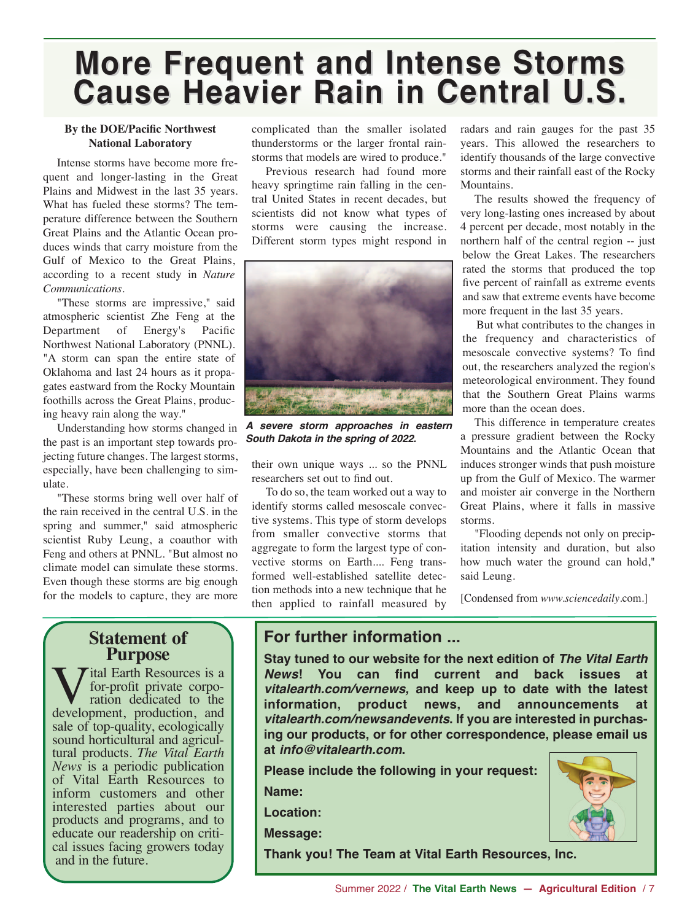# **More Frequent and Intense Storms More Frequent and Intense Storms Cause Heavier Rain in Central U.S. Cause Heavier Rain in Central U.S.**

#### **By the DOE/Pacific Northwest National Laboratory**

Intense storms have become more frequent and longer-lasting in the Great Plains and Midwest in the last 35 years. What has fueled these storms? The temperature difference between the Southern Great Plains and the Atlantic Ocean produces winds that carry moisture from the Gulf of Mexico to the Great Plains, according to a recent study in *Nature Communications*.

"These storms are impressive," said atmospheric scientist Zhe Feng at the Department of Energy's Pacific Northwest National Laboratory (PNNL). "A storm can span the entire state of Oklahoma and last 24 hours as it propagates eastward from the Rocky Mountain foothills across the Great Plains, producing heavy rain along the way."

Understanding how storms changed in the past is an important step towards projecting future changes. The largest storms, especially, have been challenging to simulate.

"These storms bring well over half of the rain received in the central U.S. in the spring and summer," said atmospheric scientist Ruby Leung, a coauthor with Feng and others at PNNL. "But almost no climate model can simulate these storms. Even though these storms are big enough for the models to capture, they are more

## **Statement of Purpose**

**Tital Earth Resources is a**<br>for-profit private corpo-<br>ration dedicated to the for-profit private corpodevelopment, production, and sale of top-quality, ecologically<br>sound horticultural and agricultural products. *The Vital Earth News* is a periodic publication of Vital Earth Resources to inform customers and other interested parties about our products and programs, and to educate our readership on criti- cal issues facing growers today and in the future.

complicated than the smaller isolated thunderstorms or the larger frontal rainstorms that models are wired to produce."

Previous research had found more heavy springtime rain falling in the central United States in recent decades, but scientists did not know what types of storms were causing the increase. Different storm types might respond in



*A severe storm approaches in eastern South Dakota in the spring of 2022.*

their own unique ways ... so the PNNL researchers set out to find out.

To do so, the team worked out a way to identify storms called mesoscale convective systems. This type of storm develops from smaller convective storms that aggregate to form the largest type of convective storms on Earth.... Feng transformed well-established satellite detection methods into a new technique that he then applied to rainfall measured by

radars and rain gauges for the past 35 years. This allowed the researchers to identify thousands of the large convective storms and their rainfall east of the Rocky Mountains.

The results showed the frequency of very long-lasting ones increased by about 4 percent per decade, most notably in the northern half of the central region -- just below the Great Lakes. The researchers rated the storms that produced the top five percent of rainfall as extreme events and saw that extreme events have become more frequent in the last 35 years.

But what contributes to the changes in the frequency and characteristics of mesoscale convective systems? To find out, the researchers analyzed the region's meteorological environment. They found that the Southern Great Plains warms more than the ocean does.

This difference in temperature creates a pressure gradient between the Rocky Mountains and the Atlantic Ocean that induces stronger winds that push moisture up from the Gulf of Mexico. The warmer and moister air converge in the Northern Great Plains, where it falls in massive storms.

"Flooding depends not only on precipitation intensity and duration, but also how much water the ground can hold," said Leung.

[Condensed from *www.sciencedaily*.com.]

## **For further information ...**

**Stay tuned to our website for the next edition of** *The Vital Earth News***! You can find current and back issues at** *vitalearth.com/vernews,* **and keep up to date with the latest information, product news, and announcements at** *vitalearth.com/newsandevents***. If you are interested in purchasing our products, or for other correspondence, please email us at** *info@vitalearth.com***.**

**Please include the following in your request:**

**Name:**

**Location:**

**Message:** 

**Thank you! The Team at Vital Earth Resources, Inc.**